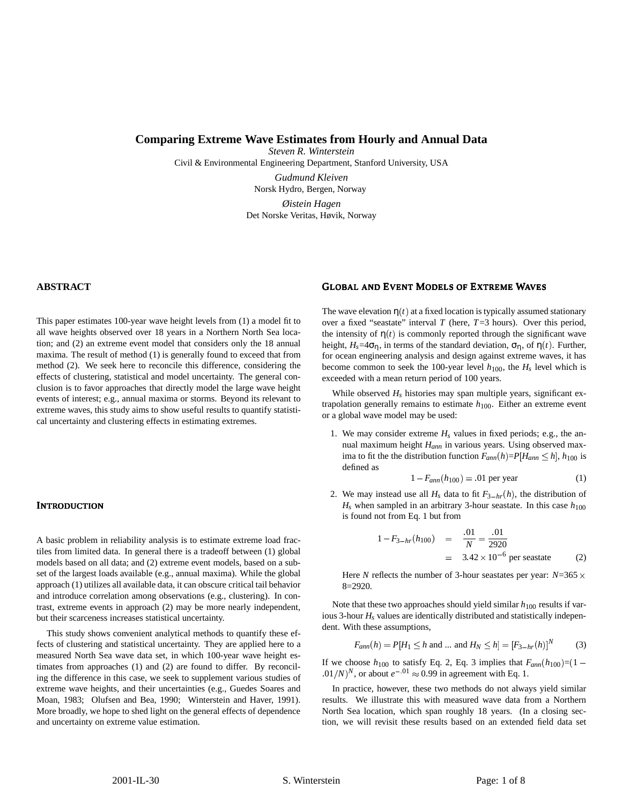# **Comparing Extreme Wave Estimates from Hourly and Annual Data**

*Steven R. Winterstein*

Civil & Environmental Engineering Department, Stanford University, USA

*Gudmund Kleiven* Norsk Hydro, Bergen, Norway

*Øistein Hagen* Det Norske Veritas, Høvik, Norway

## **ABSTRACT**

This paper estimates 100-year wave height levels from (1) a model fit to all wave heights observed over 18 years in a Northern North Sea location; and (2) an extreme event model that considers only the 18 annual maxima. The result of method (1) is generally found to exceed that from method (2). We seek here to reconcile this difference, considering the effects of clustering, statistical and model uncertainty. The general conclusion is to favor approaches that directly model the large wave height events of interest; e.g., annual maxima or storms. Beyond its relevant to extreme waves, this study aims to show useful results to quantify statistical uncertainty and clustering effects in estimating extremes.

## **INTRODUCTION**

A basic problem in reliability analysis is to estimate extreme load fractiles from limited data. In general there is a tradeoff between (1) global models based on all data; and (2) extreme event models, based on a subset of the largest loads available (e.g., annual maxima). While the global approach (1) utilizes all available data, it can obscure critical tail behavior and introduce correlation among observations (e.g., clustering). In contrast, extreme events in approach (2) may be more nearly independent, but their scarceness increases statistical uncertainty.

This study shows convenient analytical methods to quantify these effects of clustering and statistical uncertainty. They are applied here to a measured North Sea wave data set, in which 100-year wave height estimates from approaches (1) and (2) are found to differ. By reconciling the difference in this case, we seek to supplement various studies of extreme wave heights, and their uncertainties (e.g., Guedes Soares and Moan, 1983; Olufsen and Bea, 1990; Winterstein and Haver, 1991). More broadly, we hope to shed light on the general effects of dependence and uncertainty on extreme value estimation.

# GLOBAL AND EVENT MODELS OF EXTREME WAVES

The wave elevation  $\eta(t)$  at a fixed location is typically assumed stationary over a fixed "seastate" interval *T* (here, *T*=3 hours). Over this period, the intensity of  $\eta(t)$  is commonly reported through the significant wave height,  $H_s = 4\sigma_\eta$ , in terms of the standard deviation,  $\sigma_\eta$ , of  $\eta(t)$ . Further, for ocean engineering analysis and design against extreme waves, it has become common to seek the 100-year level  $h_{100}$ , the  $H_s$  level which is exceeded with a mean return period of 100 years.

While observed  $H_s$  histories may span multiple years, significant extrapolation generally remains to estimate  $h_{100}$ . Either an extreme event or a global wave model may be used:

1. We may consider extreme  $H_s$  values in fixed periods; e.g., the annual maximum height *Hann* in various years. Using observed maxima to fit the the distribution function  $F_{ann}(h) = P[H_{ann} \le h]$ ,  $h_{100}$  is defined as

$$
1 - F_{ann}(h_{100}) = 01 \text{ per year} \tag{1}
$$

2. We may instead use all  $H_s$  data to fit  $F_{3-hr}(h)$ , the distribution of  $H<sub>s</sub>$  when sampled in an arbitrary 3-hour seastate. In this case  $h<sub>100</sub>$ is found not from Eq. 1 but from

$$
1 - F_{3-hr}(h_{100}) = \frac{.01}{N} = \frac{.01}{2920}
$$
  
= 3.42 × 10<sup>-6</sup> per seastate (2)

Here *N* reflects the number of 3-hour seastates per year:  $N=365 \times$ 8=2920.

Note that these two approaches should yield similar  $h_{100}$  results if various 3-hour  $H_s$  values are identically distributed and statistically independent. With these assumptions,

$$
F_{ann}(h) = P[H_1 \le h \text{ and } ... \text{ and } H_N \le h] = [F_{3-hr}(h)]^N
$$
 (3)

If we choose  $h_{100}$  to satisfy Eq. 2, Eq. 3 implies that  $F_{ann}(h_{100}) = (1 (0.01/N)^N$ , or about  $e^{-0.01} \approx 0.99$  in agreement with Eq. 1.

In practice, however, these two methods do not always yield similar results. We illustrate this with measured wave data from a Northern North Sea location, which span roughly 18 years. (In a closing section, we will revisit these results based on an extended field data set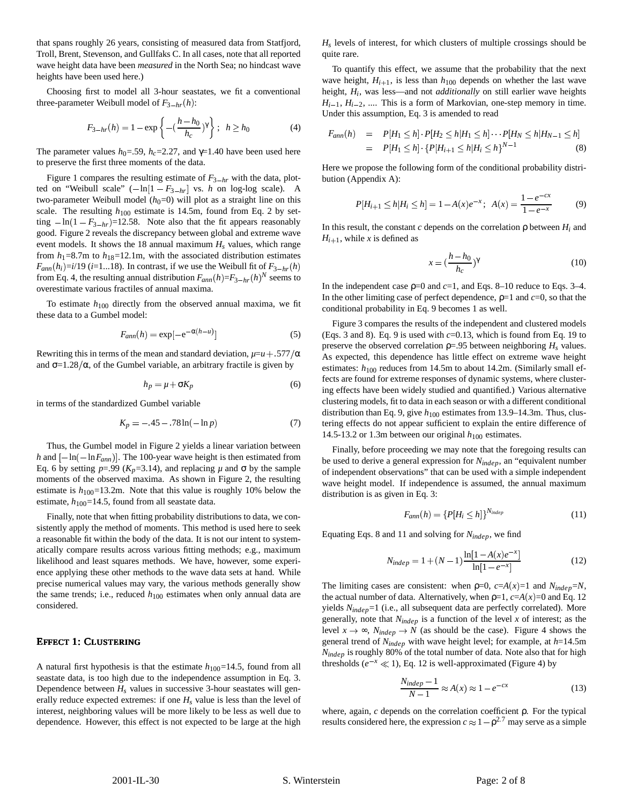that spans roughly 26 years, consisting of measured data from Statfjord, Troll, Brent, Stevenson, and Gullfaks C. In all cases, note that all reported wave height data have been *measured* in the North Sea; no hindcast wave heights have been used here.)

Choosing first to model all 3-hour seastates, we fit a conventional three-parameter Weibull model of  $F_{3-hr}(h)$ :

$$
F_{3-hr}(h) = 1 - \exp\left\{-\left(\frac{h - h_0}{h_c}\right)^{\gamma}\right\}; \quad h \ge h_0 \tag{4}
$$

The parameter values  $h_0 = .59$ ,  $h_c = 2.27$ , and  $\gamma = 1.40$  have been used here to preserve the first three moments of the data.

Figure 1 compares the resulting estimate of  $F_{3-hr}$  with the data, plotted on "Weibull scale"  $(-\ln[1 - F_{3-hr}]$  vs. *h* on log-log scale). A two-parameter Weibull model  $(h<sub>0</sub>=0)$  will plot as a straight line on this scale. The resulting  $h_{100}$  estimate is 14.5m, found from Eq. 2 by setting  $-\ln(1 - F_{3-hr}) = 12.58$ . Note also that the fit appears reasonably good. Figure 2 reveals the discrepancy between global and extreme wave event models. It shows the 18 annual maximum *Hs* values, which range from  $h_1$ =8.7m to  $h_{18}$ =12.1m, with the associated distribution estimates  $F_{ann}(h_i) = i/19$  (*i*=1...18). In contrast, if we use the Weibull fit of  $F_{3-hr}(h)$ from Eq. 4, the resulting annual distribution  $F_{ann}(h) = F_{3-hr}(h)^N$  seems to overestimate various fractiles of annual maxima.

To estimate *h*<sup>100</sup> directly from the observed annual maxima, we fit these data to a Gumbel model:

$$
F_{ann}(h) = \exp[-e^{-\alpha(h-u)}]
$$
\n(5)

Rewriting this in terms of the mean and standard deviation,  $\mu = u + 0.577/\alpha$ and  $\sigma = 1.28/\alpha$ , of the Gumbel variable, an arbitrary fractile is given by

$$
h_p = \mu + \sigma K_p \tag{6}
$$

in terms of the standardized Gumbel variable

$$
K_p = -.45 - .78\ln(-\ln p) \tag{7}
$$

Thus, the Gumbel model in Figure 2 yields a linear variation between *h* and  $\left[-\ln(-\ln F_{ann})\right]$ . The 100-year wave height is then estimated from Eq. 6 by setting  $p=0.99$  ( $K_p=3.14$ ), and replacing  $\mu$  and  $\sigma$  by the sample moments of the observed maxima. As shown in Figure 2, the resulting estimate is  $h_{100}$ =13.2m. Note that this value is roughly 10% below the estimate,  $h_{100}$ =14.5, found from all seastate data.

Finally, note that when fitting probability distributions to data, we consistently apply the method of moments. This method is used here to seek a reasonable fit within the body of the data. It is not our intent to systematically compare results across various fitting methods; e.g., maximum likelihood and least squares methods. We have, however, some experience applying these other methods to the wave data sets at hand. While precise numerical values may vary, the various methods generally show the same trends; i.e., reduced  $h_{100}$  estimates when only annual data are considered.

# EFFECT 1: CLUSTERING

A natural first hypothesis is that the estimate  $h_{100}=14.5$ , found from all seastate data, is too high due to the independence assumption in Eq. 3. Dependence between  $H_s$  values in successive 3-hour seastates will generally reduce expected extremes: if one  $H_s$  value is less than the level of interest, neighboring values will be more likely to be less as well due to dependence. However, this effect is not expected to be large at the high  $H<sub>s</sub>$  levels of interest, for which clusters of multiple crossings should be quite rare.

To quantify this effect, we assume that the probability that the next wave height,  $H_{i+1}$ , is less than  $h_{100}$  depends on whether the last wave height,  $H_i$ , was less—and not *additionally* on still earlier wave heights  $H_{i-1}$ ,  $H_{i-2}$ , .... This is a form of Markovian, one-step memory in time. Under this assumption, Eq. 3 is amended to read

$$
F_{ann}(h) = P[H_1 \le h] \cdot P[H_2 \le h | H_1 \le h] \cdots P[H_N \le h | H_{N-1} \le h]
$$
  
=  $P[H_1 \le h] \cdot \{P[H_{i+1} \le h | H_i \le h\}^{N-1}$  (8)

Here we propose the following form of the conditional probability distribution (Appendix A):

$$
P[H_{i+1} \le h | H_i \le h] = 1 - A(x)e^{-x}; \ \ A(x) = \frac{1 - e^{-cx}}{1 - e^{-x}} \tag{9}
$$

In this result, the constant *c* depends on the correlation  $\rho$  between  $H_i$  and  $H_{i+1}$ , while *x* is defined as

$$
x = \left(\frac{h - h_0}{h_c}\right)^{\gamma} \tag{10}
$$

In the independent case  $p=0$  and  $c=1$ , and Eqs. 8–10 reduce to Eqs. 3–4. In the other limiting case of perfect dependence,  $\rho=1$  and  $c=0$ , so that the conditional probability in Eq. 9 becomes 1 as well.

Figure 3 compares the results of the independent and clustered models (Eqs. 3 and 8). Eq. 9 is used with  $c=0.13$ , which is found from Eq. 19 to preserve the observed correlation  $p = .95$  between neighboring  $H_s$  values. As expected, this dependence has little effect on extreme wave height estimates:  $h_{100}$  reduces from 14.5m to about 14.2m. (Similarly small effects are found for extreme responses of dynamic systems, where clustering effects have been widely studied and quantified.) Various alternative clustering models, fit to data in each season or with a different conditional distribution than Eq. 9, give  $h_{100}$  estimates from 13.9–14.3m. Thus, clustering effects do not appear sufficient to explain the entire difference of 14.5-13.2 or 1.3m between our original  $h_{100}$  estimates.

Finally, before proceeding we may note that the foregoing results can be used to derive a general expression for *Nindep*, an "equivalent number of independent observations" that can be used with a simple independent wave height model. If independence is assumed, the annual maximum distribution is as given in Eq. 3:

$$
F_{ann}(h) = \{P[H_i \le h]\}^{N_{indep}} \tag{11}
$$

Equating Eqs. 8 and 11 and solving for *Nindep*, we find

$$
N_{indep} = 1 + (N - 1) \frac{\ln[1 - A(x)e^{-x}]}{\ln[1 - e^{-x}]}
$$
 (12)

The limiting cases are consistent: when  $p=0$ ,  $c=A(x)=1$  and  $N_{indep}=N$ , the actual number of data. Alternatively, when  $p=1$ ,  $c=A(x)=0$  and Eq. 12 yields *Nindep*=1 (i.e., all subsequent data are perfectly correlated). More generally, note that *Nindep* is a function of the level *x* of interest; as the level  $x \to \infty$ ,  $N_{indep} \to N$  (as should be the case). Figure 4 shows the general trend of *Nindep* with wave height level; for example, at *h*=14.5m *Nindep* is roughly 80% of the total number of data. Note also that for high thresholds ( $e^{-x} \ll 1$ ), Eq. 12 is well-approximated (Figure 4) by

$$
\frac{N_{indep} - 1}{N - 1} \approx A(x) \approx 1 - e^{-cx}
$$
 (13)

where, again, *c* depends on the correlation coefficient ρ. For the typical results considered here, the expression  $c \approx 1 - \rho^{2.7}$  may serve as a simple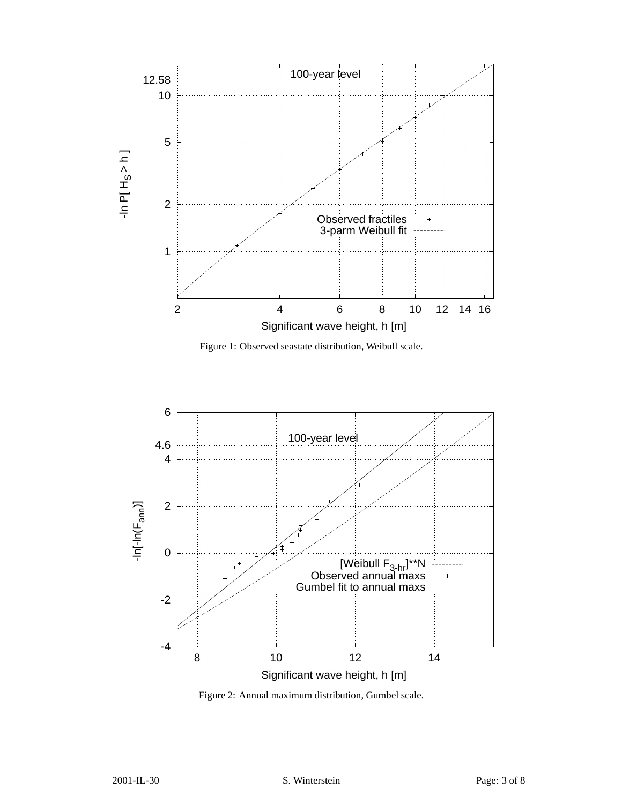

Figure 1: Observed seastate distribution, Weibull scale.



Figure 2: Annual maximum distribution, Gumbel scale.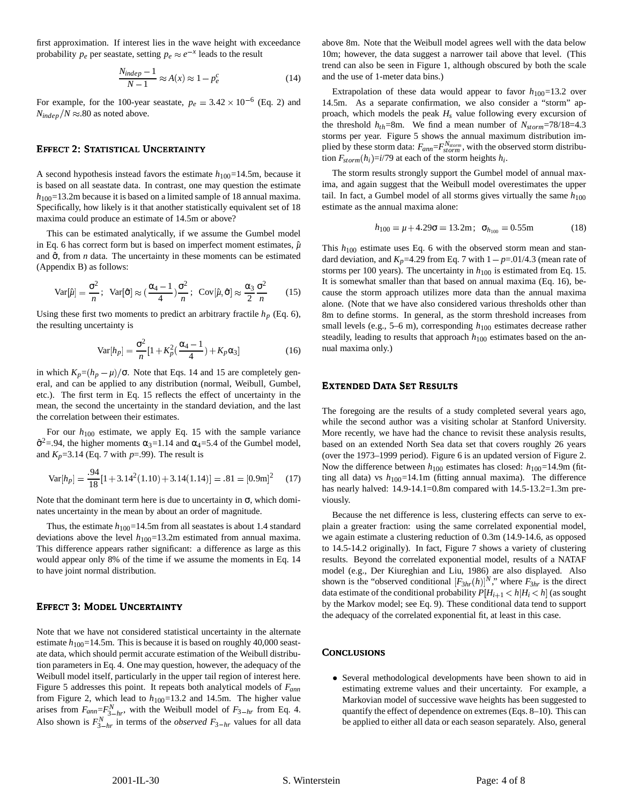first approximation. If interest lies in the wave height with exceedance probability  $p_e$  per seastate, setting  $p_e \approx e^{-x}$  leads to the result

$$
\frac{N_{indep} - 1}{N - 1} \approx A(x) \approx 1 - p_e^c \tag{14}
$$

For example, for the 100-year seastate,  $p_e = 3.42 \times 10^{-6}$  (Eq. 2) and  $N_{indep}/N \approx 0.80$  as noted above.

## EFFECT 2: STATISTICAL UNCERTAINTY

A second hypothesis instead favors the estimate  $h_{100}=14.5$ m, because it is based on all seastate data. In contrast, one may question the estimate  $h_{100}$ =13.2m because it is based on a limited sample of 18 annual maxima. Specifically, how likely is it that another statistically equivalent set of 18 maxima could produce an estimate of 14.5m or above?

This can be estimated analytically, if we assume the Gumbel model in Eq. 6 has correct form but is based on imperfect moment estimates,  $\hat{\mu}$ and  $\hat{\sigma}$ , from *n* data. The uncertainty in these moments can be estimated (Appendix B) as follows:

$$
\text{Var}[\hat{\mu}] = \frac{\sigma^2}{n}; \quad \text{Var}[\hat{\sigma}] \approx (\frac{\alpha_4 - 1}{4})\frac{\sigma^2}{n}; \quad \text{Cov}[\hat{\mu}, \hat{\sigma}] \approx \frac{\alpha_3}{2}\frac{\sigma^2}{n} \tag{15}
$$

Using these first two moments to predict an arbitrary fractile  $h_p$  (Eq. 6), the resulting uncertainty is

$$
\text{Var}[h_p] = \frac{\sigma^2}{n} [1 + K_p^2(\frac{\alpha_4 - 1}{4}) + K_p \alpha_3]
$$
 (16)

in which  $K_p = (h_p - \mu)/\sigma$ . Note that Eqs. 14 and 15 are completely general, and can be applied to any distribution (normal, Weibull, Gumbel, etc.). The first term in Eq. 15 reflects the effect of uncertainty in the mean, the second the uncertainty in the standard deviation, and the last the correlation between their estimates.

For our *h*<sup>100</sup> estimate, we apply Eq. 15 with the sample variance  $\hat{\sigma}^2$ =.94, the higher moments  $\alpha_3$ =1.14 and  $\alpha_4$ =5.4 of the Gumbel model, and  $K_p$ =3.14 (Eq. 7 with  $p$ =.99). The result is

$$
Var[h_p] = \frac{.94}{18} [1 + 3.14^2 (1.10) + 3.14 (1.14)] = .81 = [0.9 \text{m}]^2 \tag{17}
$$

Note that the dominant term here is due to uncertainty in  $\sigma$ , which dominates uncertainty in the mean by about an order of magnitude.

Thus, the estimate  $h_{100}$ =14.5m from all seastates is about 1.4 standard deviations above the level  $h_{100}=13.2$ m estimated from annual maxima. This difference appears rather significant: a difference as large as this would appear only 8% of the time if we assume the moments in Eq. 14 to have joint normal distribution.

#### EFFECT 3: MODEL UNCERTAINTY

Note that we have not considered statistical uncertainty in the alternate estimate  $h_{100}$ =14.5m. This is because it is based on roughly 40,000 seastate data, which should permit accurate estimation of the Weibull distribution parameters in Eq. 4. One may question, however, the adequacy of the Weibull model itself, particularly in the upper tail region of interest here. Figure 5 addresses this point. It repeats both analytical models of *Fann* from Figure 2, which lead to  $h_{100}$ =13.2 and 14.5m. The higher value arises from  $F_{ann}=F_{3-hr}^N$ , with the Weibull model of  $F_{3-hr}$  from Eq. 4. Also shown is  $F_{3-hr}^N$  in terms of the *observed*  $F_{3-hr}$  values for all data above 8m. Note that the Weibull model agrees well with the data below 10m; however, the data suggest a narrower tail above that level. (This trend can also be seen in Figure 1, although obscured by both the scale and the use of 1-meter data bins.)

Extrapolation of these data would appear to favor  $h_{100}=13.2$  over 14.5m. As a separate confirmation, we also consider a "storm" approach, which models the peak *Hs* value following every excursion of the threshold  $h_{th}$ =8m. We find a mean number of  $N_{storm}$ =78/18=4.3 storms per year. Figure 5 shows the annual maximum distribution implied by these storm data:  $F_{ann} = F_{storm}^{N_{storm}}$ , with the observed storm distribu $t_{\text{atom}}(h_i) = i/79$  at each of the storm heights  $h_i$ .

The storm results strongly support the Gumbel model of annual maxima, and again suggest that the Weibull model overestimates the upper tail. In fact, a Gumbel model of all storms gives virtually the same  $h_{100}$ estimate as the annual maxima alone:

$$
h_{100} = \mu + 4.29\sigma = 13.2 \text{m}; \ \sigma_{h_{100}} = 0.55 \text{m} \tag{18}
$$

This  $h_{100}$  estimate uses Eq. 6 with the observed storm mean and standard deviation, and  $K_p$ =4.29 from Eq. 7 with  $1 - p = .01/4.3$  (mean rate of storms per 100 years). The uncertainty in  $h_{100}$  is estimated from Eq. 15. It is somewhat smaller than that based on annual maxima (Eq. 16), because the storm approach utilizes more data than the annual maxima alone. (Note that we have also considered various thresholds other than 8m to define storms. In general, as the storm threshold increases from small levels (e.g., 5–6 m), corresponding  $h_{100}$  estimates decrease rather steadily, leading to results that approach  $h_{100}$  estimates based on the annual maxima only.)

## EXTENDED DATA SET RESULTS

The foregoing are the results of a study completed several years ago, while the second author was a visiting scholar at Stanford University. More recently, we have had the chance to revisit these analysis results, based on an extended North Sea data set that covers roughly 26 years (over the 1973–1999 period). Figure 6 is an updated version of Figure 2. Now the difference between  $h_{100}$  estimates has closed:  $h_{100}$ =14.9m (fitting all data) vs  $h_{100}$ =14.1m (fitting annual maxima). The difference has nearly halved: 14.9-14.1=0.8m compared with 14.5-13.2=1.3m previously.

Because the net difference is less, clustering effects can serve to explain a greater fraction: using the same correlated exponential model, we again estimate a clustering reduction of 0.3m (14.9-14.6, as opposed to 14.5-14.2 originally). In fact, Figure 7 shows a variety of clustering results. Beyond the correlated exponential model, results of a NATAF model (e.g., Der Kiureghian and Liu, 1986) are also displayed. Also shown is the "observed conditional  $[F_{3hr}(h)]^N$ ," where  $F_{3hr}$  is the direct data estimate of the conditional probability  $P[H_{i+1} < h|H_i < h]$  (as sought by the Markov model; see Eq. 9). These conditional data tend to support the adequacy of the correlated exponential fit, at least in this case.

# **CONCLUSIONS**

- Several methodological developments have been shown to aid in estimating extreme values and their uncertainty. For example, a Markovian model of successive wave heights has been suggested to quantify the effect of dependence on extremes (Eqs. 8–10). This can be applied to either all data or each season separately. Also, general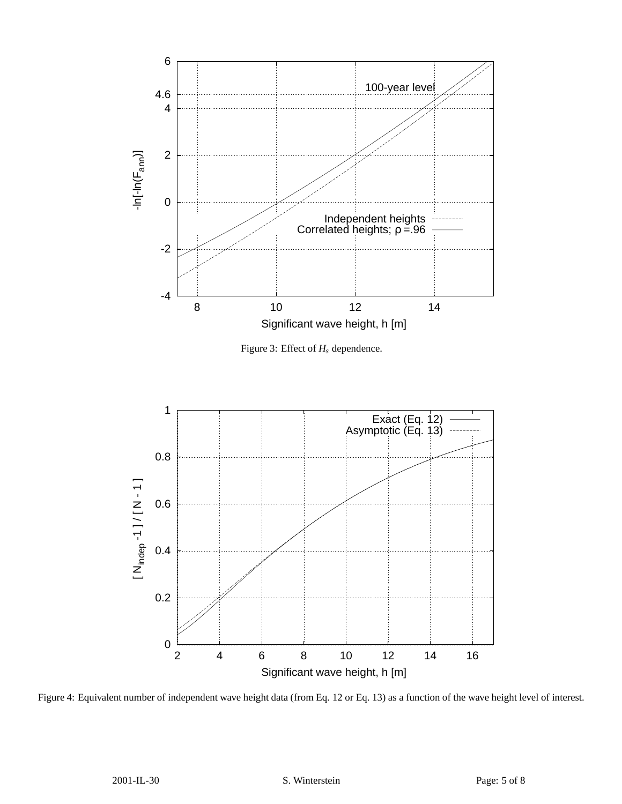



Figure 4: Equivalent number of independent wave height data (from Eq. 12 or Eq. 13) as a function of the wave height level of interest.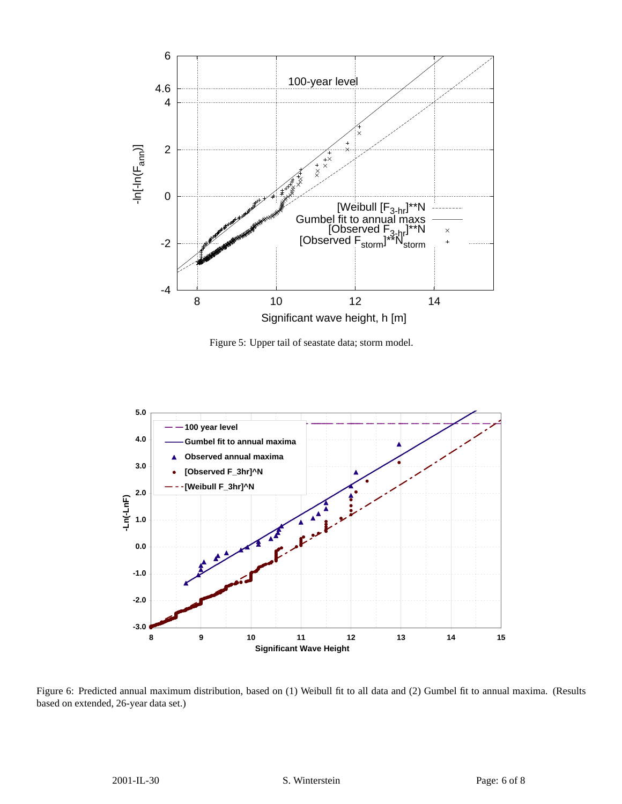

Figure 5: Upper tail of seastate data; storm model.



Figure 6: Predicted annual maximum distribution, based on (1) Weibull fit to all data and (2) Gumbel fit to annual maxima. (Results based on extended, 26-year data set.)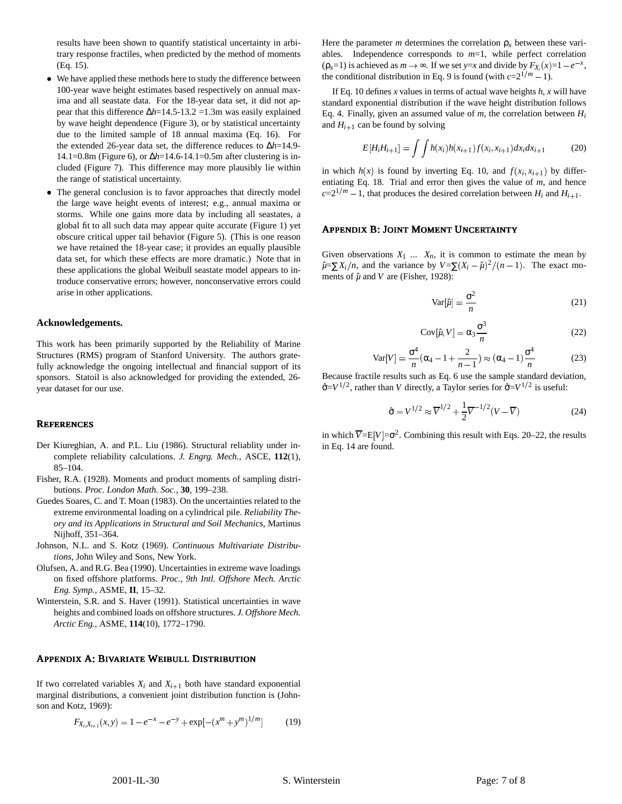results have been shown to quantify statistical uncertainty in arbitrary response fractiles, when predicted by the method of moments (Eq. 15).

- We have applied these methods here to study the difference between 100-year wave height estimates based respectively on annual maxima and all seastate data. For the 18-year data set, it did not appear that this difference ∆*h*=14.5-13.2 =1.3m was easily explained by wave height dependence (Figure 3), or by statistical uncertainty due to the limited sample of 18 annual maxima (Eq. 16). For the extended 26-year data set, the difference reduces to ∆*h*=14.9- 14.1=0.8m (Figure 6), or ∆*h*=14.6-14.1=0.5m after clustering is included (Figure 7). This difference may more plausibly lie within the range of statistical uncertainty.
- The general conclusion is to favor approaches that directly model the large wave height events of interest; e.g., annual maxima or storms. While one gains more data by including all seastates, a global fit to all such data may appear quite accurate (Figure 1) yet obscure critical upper tail behavior (Figure 5). (This is one reason we have retained the 18-year case; it provides an equally plausible data set, for which these effects are more dramatic.) Note that in these applications the global Weibull seastate model appears to introduce conservative errors; however, nonconservative errors could arise in other applications.

#### **Acknowledgements.**

This work has been primarily supported by the Reliability of Marine Structures (RMS) program of Stanford University. The authors gratefully acknowledge the ongoing intellectual and financial support of its sponsors. Statoil is also acknowledged for providing the extended, 26 year dataset for our use.

#### **REFERENCES**

- Der Kiureghian, A. and P.L. Liu (1986). Structural reliablity under incomplete reliability calculations. *J. Engrg. Mech.,* ASCE, **112**(1), 85–104.
- Fisher, R.A. (1928). Moments and product moments of sampling distributions. *Proc. London Math. Soc.,* **30**, 199–238.
- Guedes Soares, C. and T. Moan (1983). On the uncertainties related to the extreme environmental loading on a cylindrical pile. *Reliability Theory and its Applications in Structural and Soil Mechanics*, Martinus Nijhoff, 351–364.
- Johnson, N.L. and S. Kotz (1969). *Continuous Multivariate Distributions,* John Wiley and Sons, New York.
- Olufsen, A. and R.G. Bea (1990). Uncertainties in extreme wave loadings on fixed offshore platforms. *Proc., 9th Intl. Offshore Mech. Arctic Eng. Symp.,* ASME, **II**, 15–32.
- Winterstein, S.R. and S. Haver (1991). Statistical uncertainties in wave heights and combined loads on offshore structures. *J. Offshore Mech. Arctic Eng.,* ASME, **114**(10), 1772–1790.

# APPENDIX A: BIVARIATE WEIBULL DISTRIBUTION

If two correlated variables  $X_i$  and  $X_{i+1}$  both have standard exponential marginal distributions, a convenient joint distribution function is (Johnson and Kotz, 1969):

$$
F_{X_i, X_{i+1}}(x, y) = 1 - e^{-x} - e^{-y} + \exp[-(x^m + y^m)^{1/m}] \tag{19}
$$

Here the parameter *m* determines the correlation  $\rho<sub>x</sub>$  between these variables. Independence corresponds to *m*=1, while perfect correlation  $(\rho_x=1)$  is achieved as  $m \to \infty$ . If we set *y*=*x* and divide by  $F_{X_i}(x)=1-e^{-x}$ , the conditional distribution in Eq. 9 is found (with  $c=2^{1/m}-1$ ).

If Eq. 10 defines *x* values in terms of actual wave heights  $h$ ,  $x$  will have standard exponential distribution if the wave height distribution follows Eq. 4. Finally, given an assumed value of *m*, the correlation between *H<sup>i</sup>* and  $H_{i+1}$  can be found by solving

$$
E[H_i H_{i+1}] = \int \int h(x_i) h(x_{i+1}) f(x_i, x_{i+1}) dx_i dx_{i+1} \tag{20}
$$

in which  $h(x)$  is found by inverting Eq. 10, and  $f(x_i, x_{i+1})$  by differentiating Eq. 18. Trial and error then gives the value of *m*, and hence  $c=2^{1/m} - 1$ , that produces the desired correlation between  $H_i$  and  $H_{i+1}$ .

#### APPENDIX B: JOINT MOMENT UNCERTAINTY

Given observations  $X_1$  ...  $X_n$ , it is common to estimate the mean by  $\hat{\mu} = \sum X_i/n$ , and the variance by  $V = \sum (X_i - \hat{\mu})^2/(n-1)$ . The exact moments of  $\hat{\mu}$  and *V* are (Fisher, 1928):

$$
Var[\hat{\mu}] = \frac{\sigma^2}{n}
$$
 (21)

$$
Cov[\hat{\mu}, V] = \alpha_3 \frac{\sigma^3}{n}
$$
 (22)

$$
Var[V] = \frac{\sigma^4}{n} (\alpha_4 - 1 + \frac{2}{n-1}) \approx (\alpha_4 - 1) \frac{\sigma^4}{n}
$$
 (23)

Because fractile results such as Eq. 6 use the sample standard deviation,  $\hat{\sigma} = V^{1/2}$ , rather than *V* directly, a Taylor series for  $\hat{\sigma} = V^{1/2}$  is useful:

$$
\hat{\sigma} = V^{1/2} \approx \overline{V}^{1/2} + \frac{1}{2}\overline{V}^{-1/2}(V - \overline{V})
$$
\n(24)

in which  $\overline{V} = E[V] = \sigma^2$ . Combining this result with Eqs. 20–22, the results in Eq. 14 are found.